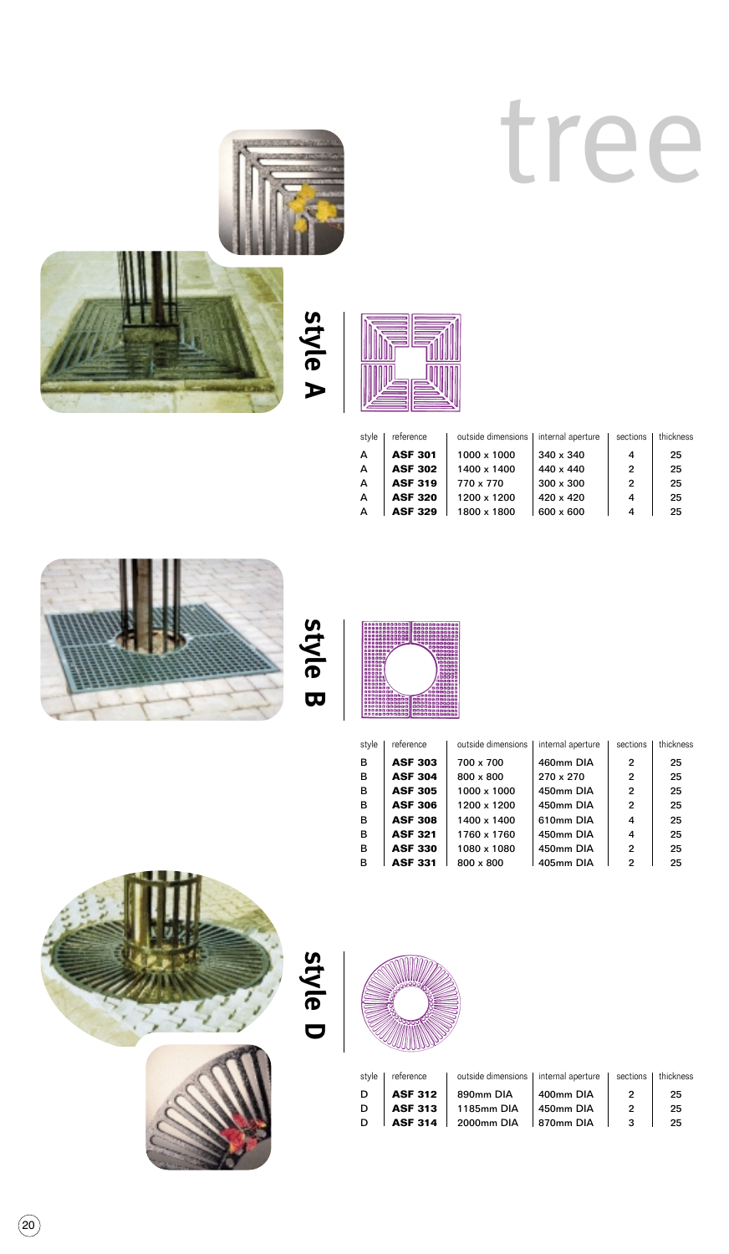# tree





**style A**



| style | reference      | outside dimensions   internal aperture |                  | sections | thickness |
|-------|----------------|----------------------------------------|------------------|----------|-----------|
| A     | <b>ASF 301</b> | 1000 x 1000                            | 340 x 340        | 4        | 25        |
| A     | <b>ASF 302</b> | 1400 x 1400                            | 440 x 440        | 2        | 25        |
| A     | <b>ASF 319</b> | 770 x 770                              | $300 \times 300$ | 2        | 25        |
| A     | <b>ASF 320</b> | 1200 x 1200                            | 420 x 420        | 4        | 25        |
| A     | <b>ASF 329</b> | 1800 x 1800                            | 600 x 600        |          | 25        |



**style B**



| style | reference      | outside dimensions | internal aperture | sections       | thickness |
|-------|----------------|--------------------|-------------------|----------------|-----------|
| в     | <b>ASF 303</b> | 700 x 700          | 460mm DIA         | 2              | 25        |
| в     | <b>ASF 304</b> | 800 x 800          | 270 x 270         | $\overline{2}$ | 25        |
| в     | <b>ASF 305</b> | 1000 x 1000        | 450mm DIA         | 2              | 25        |
| в     | <b>ASF 306</b> | 1200 x 1200        | 450mm DIA         | 2              | 25        |
| в     | <b>ASF 308</b> | 1400 x 1400        | 610mm DIA         | 4              | 25        |
| в     | <b>ASF 321</b> | 1760 x 1760        | 450mm DIA         | 4              | 25        |
| в     | <b>ASF 330</b> | 1080 x 1080        | 450mm DIA         | 2              | 25        |
| в     | <b>ASF 331</b> | 800 x 800          | 405mm DIA         | 2              | 25        |





**style D**



| stvle | reference      | outside dimensions   internal aperture |           |               | sections   thickness |
|-------|----------------|----------------------------------------|-----------|---------------|----------------------|
| D     | <b>ASF 312</b> | 890mm DIA                              | 400mm DIA | $\mathcal{P}$ | 25                   |
| D     | <b>ASF 313</b> | 1185mm DIA                             | 450mm DIA | 2             | 25                   |
| D     | <b>ASF 314</b> | 2000mm DIA                             | 870mm DIA | ৽৽            | 25                   |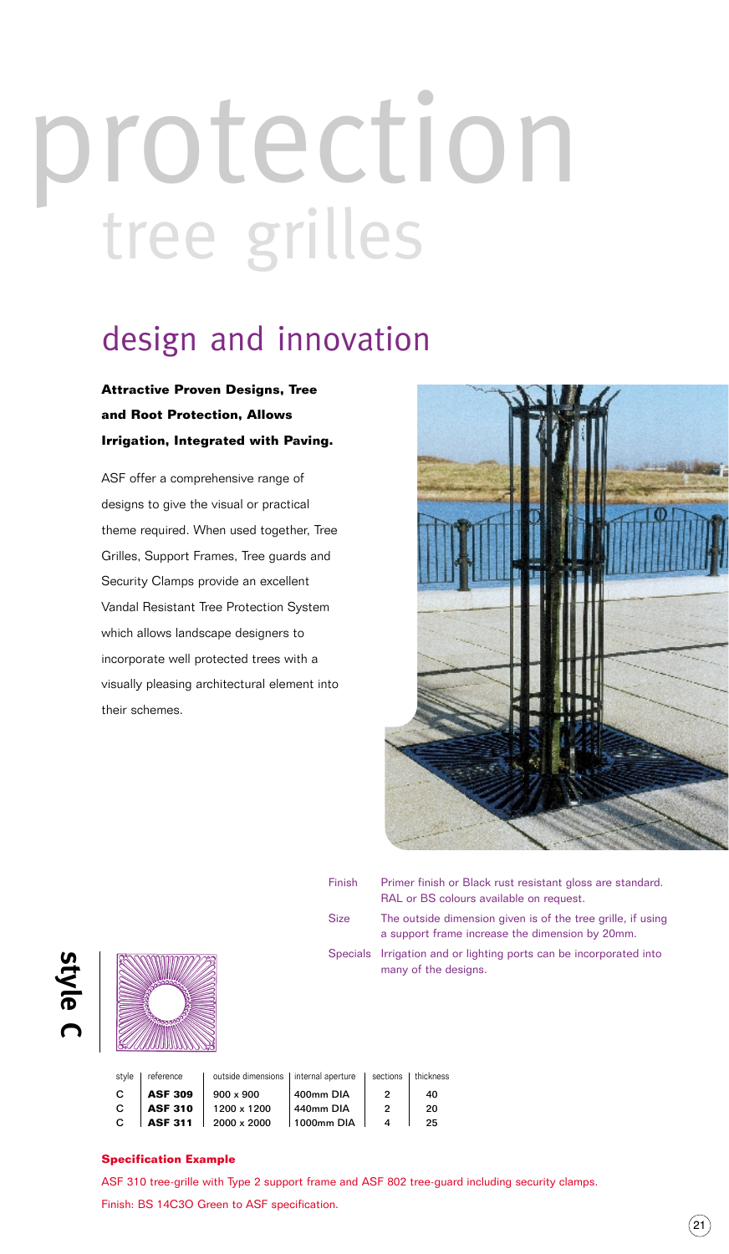### protection tree grilles

### design and innovation

#### **Attractive Proven Designs, Tree and Root Protection, Allows Irrigation, Integrated with Paving.**

ASF offer a comprehensive range of designs to give the visual or practical theme required. When used together, Tree Grilles, Support Frames, Tree guards and Security Clamps provide an excellent Vandal Resistant Tree Protection System which allows landscape designers to incorporate well protected trees with a visually pleasing architectural element into their schemes.



| Finish | Primer finish or Black rust resistant gloss are standard.<br>RAL or BS colours available on request.           |
|--------|----------------------------------------------------------------------------------------------------------------|
| Size   | The outside dimension given is of the tree grille, if using<br>a support frame increase the dimension by 20mm. |
|        | Specials Irrigation and or lighting ports can be incorporated into<br>many of the designs.                     |

| ഗ |
|---|
| ø |
|   |
| æ |
|   |
|   |



style | reference | outside dimensions | internal aperture | sections | thickness C | **ASF 309** |  $900 \times 900$  |  $400$ mm DIA | 2 |  $40$ **C** | **ASF 310** | 1200 x 1200 | 440mm DIA | 2 | 20 C **ASF 311** 2000 x 2000 1000mm DIA 4 25

#### **Specification Example**

ASF 310 tree-grille with Type 2 support frame and ASF 802 tree-guard including security clamps. Finish: BS 14C3O Green to ASF specification.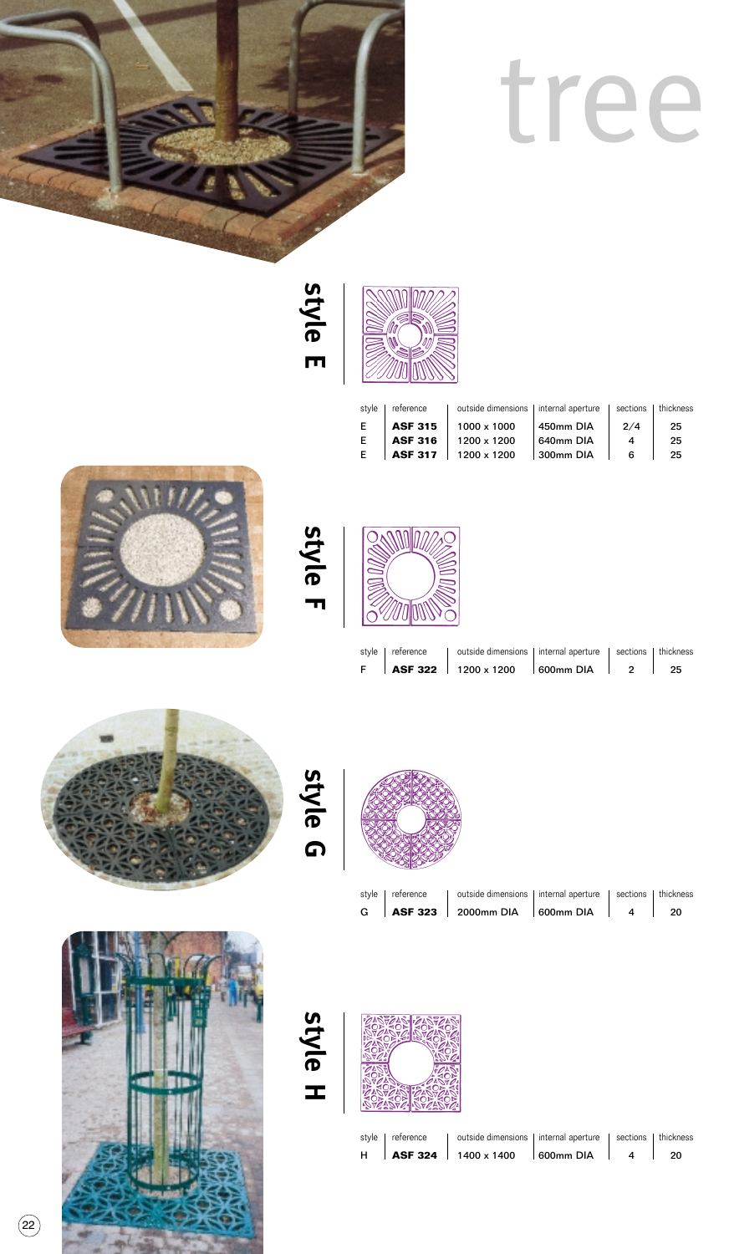

## tree

**style E**



| style | reference      | outside dimensions   internal aperture |           |     | sections I thickness |
|-------|----------------|----------------------------------------|-----------|-----|----------------------|
| E     | <b>ASF 315</b> | 1000 x 1000                            | 450mm DIA | 2/4 | 25                   |
| Е     | <b>ASF 316</b> | 1200 x 1200                            | 640mm DIA | ⊿   | 25                   |
| E     | <b>ASF 317</b> | 1200 x 1200                            | 300mm DIA | ี   | 25                   |
|       |                |                                        |           |     |                      |





|  | style   reference   outside dimensions   internal aperture   sections   thickness |  |  |
|--|-----------------------------------------------------------------------------------|--|--|
|  | F   ASF 322   1200 x 1200   600mm DIA   2   25                                    |  |  |





**style G**



|  | G $\begin{array}{ c c c c c }\n\hline\n\text{G} & \text{ASF 323} & \text{2000mm DIA} & \text{600mm DIA} & 4 & 20 \\ \hline\n\end{array}$ |  |  |
|--|------------------------------------------------------------------------------------------------------------------------------------------|--|--|
|  | style   reference   outside dimensions   internal aperture   sections   thickness                                                        |  |  |

**style H**



|  | style   reference   outside dimensions   internal aperture   sections   thickness |  |      |
|--|-----------------------------------------------------------------------------------|--|------|
|  | H   ASF 324   1400 x 1400   600mm DIA   4                                         |  | - 20 |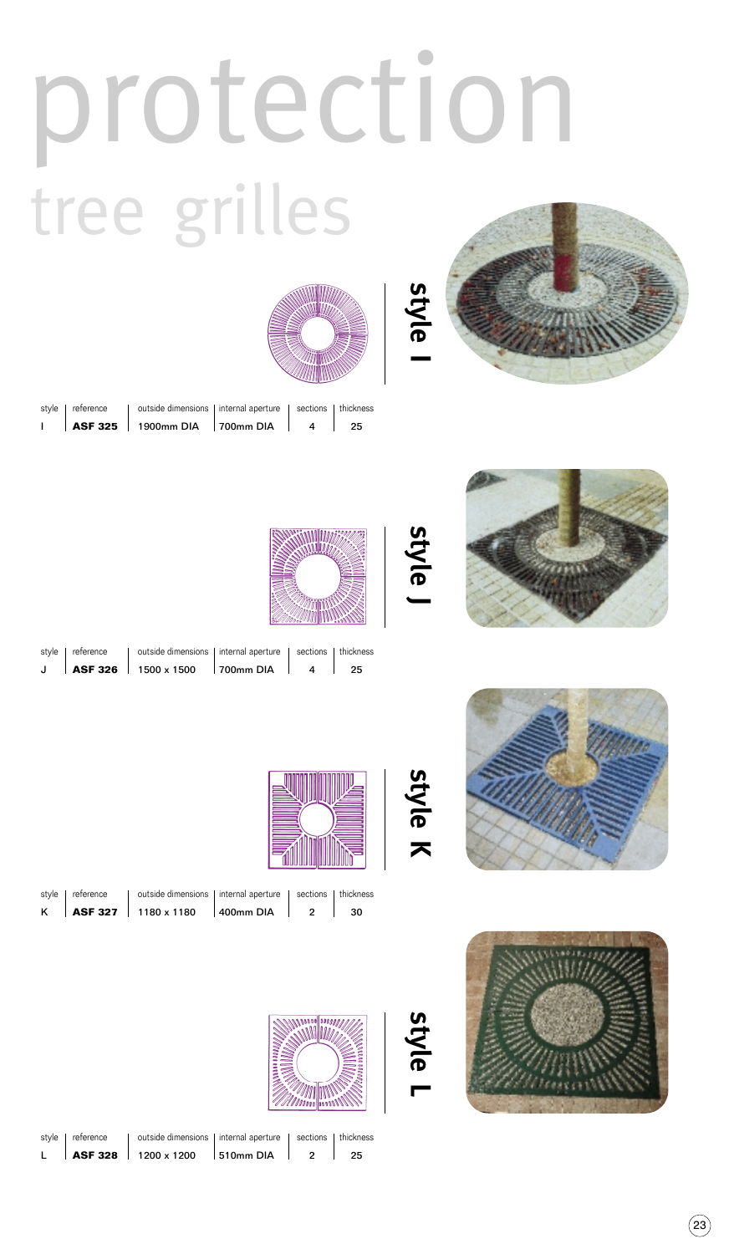## protection tree grilles





|  | style   reference   outside dimensions   internal aperture   sections   thickness |  |  |
|--|-----------------------------------------------------------------------------------|--|--|
|  | $\vert$ <b>ASF 325</b>   1900mm DIA   700mm DIA   4   25                          |  |  |





**style J**

**style K**

**style L**

|  | style   reference   outside dimensions   internal aperture   sections   thickness |  |  |
|--|-----------------------------------------------------------------------------------|--|--|
|  | J   ASF 326   1500 x 1500   700mm DIA   4   25                                    |  |  |



| Ш<br><u> Allititium</u><br><b>ANADO AR</b> |  |
|--------------------------------------------|--|

|  | style   reference   outside dimensions   internal aperture   sections   thickness |  |  |
|--|-----------------------------------------------------------------------------------|--|--|
|  | K   ASF 327   1180 x 1180   400mm DIA   2   30                                    |  |  |



| style   reference | outside dimensions   internal aperture   sections   thickness<br>L   ASF 328   1200 x 1200   510mm DIA | $\overline{2}$ | - 25 |
|-------------------|--------------------------------------------------------------------------------------------------------|----------------|------|
|                   |                                                                                                        |                |      |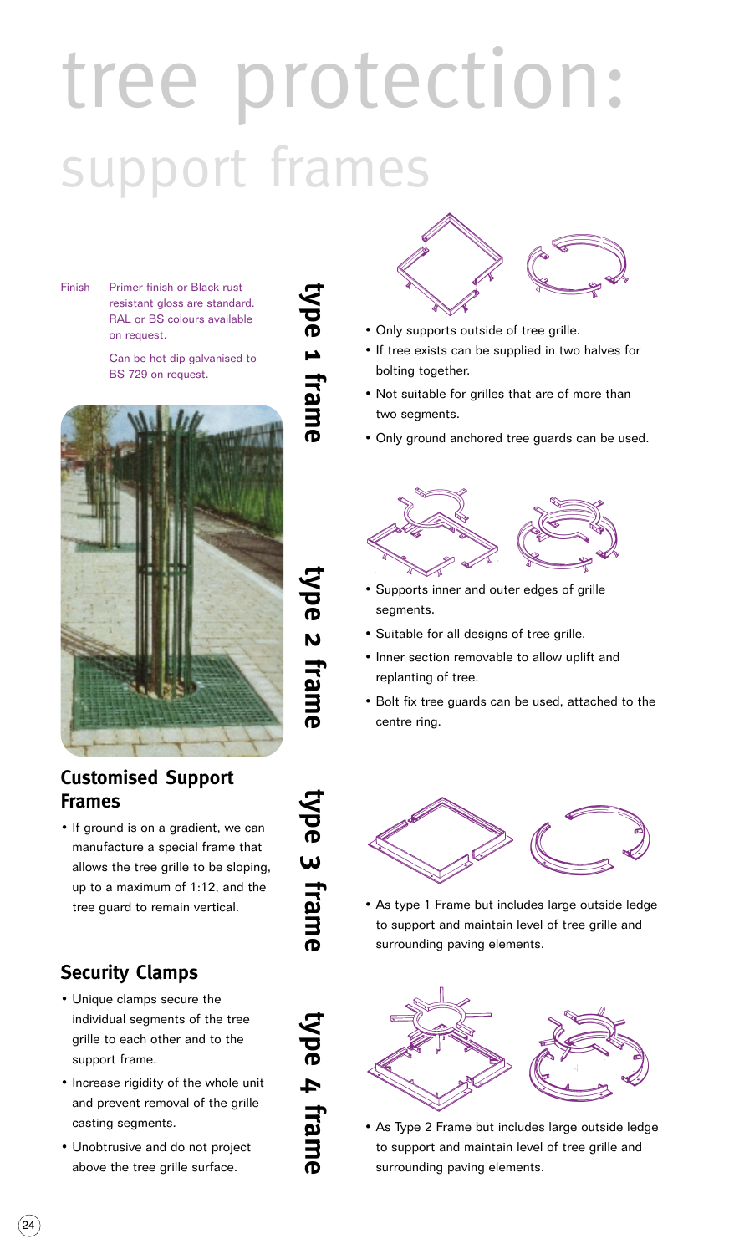### tree protection: support frames

Finish Primer finish or Black rust resistant gloss are standard. RAL or BS colours available on request.

> Can be hot dip galvanised to BS 729 on request.



#### **Customised Support Frames**

• If ground is on a gradient, we can manufacture a special frame that allows the tree grille to be sloping, up to a maximum of 1:12, and the tree guard to remain vertical.

### **Security Clamps**

- Unique clamps secure the individual segments of the tree grille to each other and to the support frame.
- Increase rigidity of the whole unit and prevent removal of the grille casting segments.
- Unobtrusive and do not project above the tree grille surface.



- Only supports outside of tree grille.
- If tree exists can be supplied in two halves for bolting together.
- Not suitable for grilles that are of more than two segments.
- Only ground anchored tree guards can be used.



- Supports inner and outer edges of grille segments.
- Suitable for all designs of tree grille.
- Inner section removable to allow uplift and replanting of tree.
- Bolt fix tree guards can be used, attached to the centre ring.



• As type 1 Frame but includes large outside ledge to support and maintain level of tree grille and surrounding paving elements.



• As Type 2 Frame but includes large outside ledge to support and maintain level of tree grille and surrounding paving elements.

**type 2 frame** ype 2 frame

**type 3 frame**

type 3 frame

**type 4 frame**

type 4 frame

**type 1 frame**

type 1 frame

24